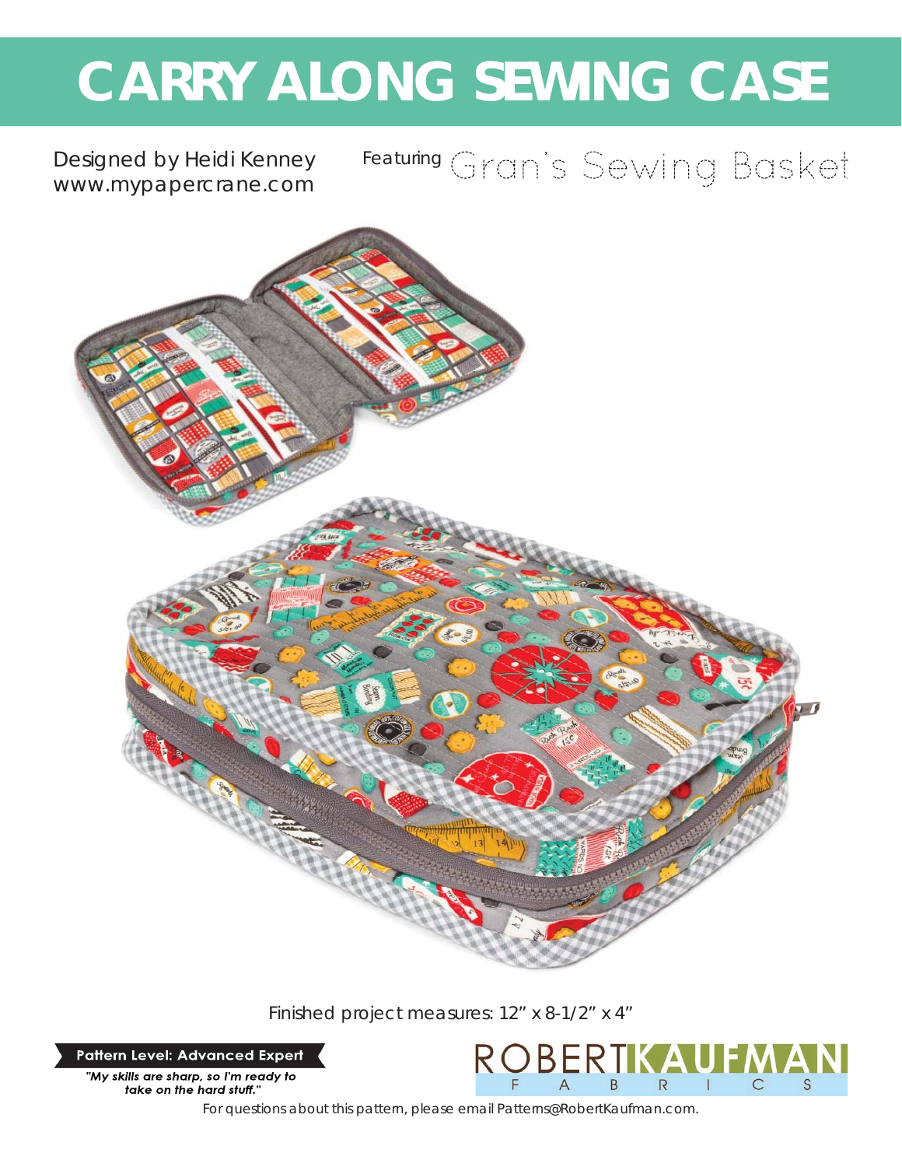# **CARRY ALONG SEWING CASE**

Designed by Heidi Kenney *www.mypapercrane.com*

# Featuring Gran's Sewing Basket



Finished project measures: 12" x 8-1/2" x 4"

**Pattern Level: Advanced Expert** 

"My skills are sharp, so I'm ready to take on the hard stuff."



*For questions about this pattern, please email Patterns@RobertKaufman.com.*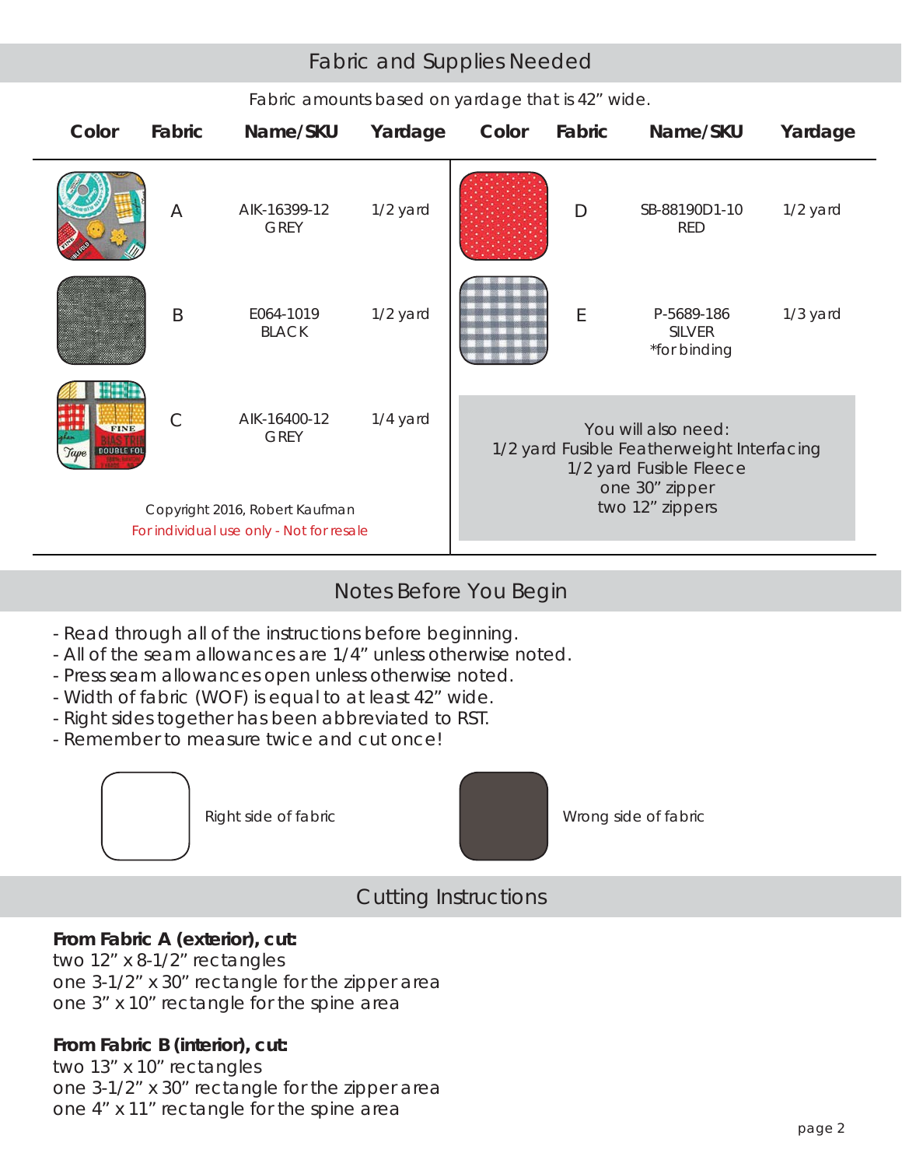# Fabric and Supplies Needed

| Color                             | Fabric        | Name/SKU                                                      | Yardage  | Color | Fabric | Name/SKU                                                                                                                          | Yardage  |
|-----------------------------------|---------------|---------------------------------------------------------------|----------|-------|--------|-----------------------------------------------------------------------------------------------------------------------------------|----------|
|                                   | A             | AIK-16399-12<br><b>GREY</b>                                   | 1/2 yard |       | D      | SB-88190D1-10<br><b>RED</b>                                                                                                       | 1/2 yard |
|                                   | B             | E064-1019<br><b>BLACK</b>                                     | 1/2 yard |       | E      | P-5689-186<br><b>SILVER</b><br>*for binding                                                                                       | 1/3 yard |
| <b>FINE</b><br>DOUBLE FOI<br>Tape | $\mathcal{C}$ | AIK-16400-12<br><b>GREY</b><br>Copyright 2016, Robert Kaufman | 1/4 yard |       |        | You will also need:<br>1/2 yard Fusible Featherweight Interfacing<br>1/2 yard Fusible Fleece<br>one 30" zipper<br>two 12" zippers |          |
|                                   |               | For individual use only - Not for resale                      |          |       |        |                                                                                                                                   |          |

#### *Fabric amounts based on yardage that is 42" wide.*

# Notes Before You Begin

- Read through all of the instructions before beginning.
- All of the seam allowances are 1/4" unless otherwise noted.
- Press seam allowances open unless otherwise noted.
- Width of fabric (WOF) is equal to at least 42" wide.
- Right sides together has been abbreviated to RST.
- Remember to measure twice and cut once!





Right side of fabric Network Channel Wrong side of fabric

# Cutting Instructions

# **From Fabric A (exterior), cut:**

two 12" x 8-1/2" rectangles one 3-1/2" x 30" rectangle for the zipper area one 3" x 10" rectangle for the spine area

# **From Fabric B (interior), cut:**

two 13" x 10" rectangles one 3-1/2" x 30" rectangle for the zipper area one 4" x 11" rectangle for the spine area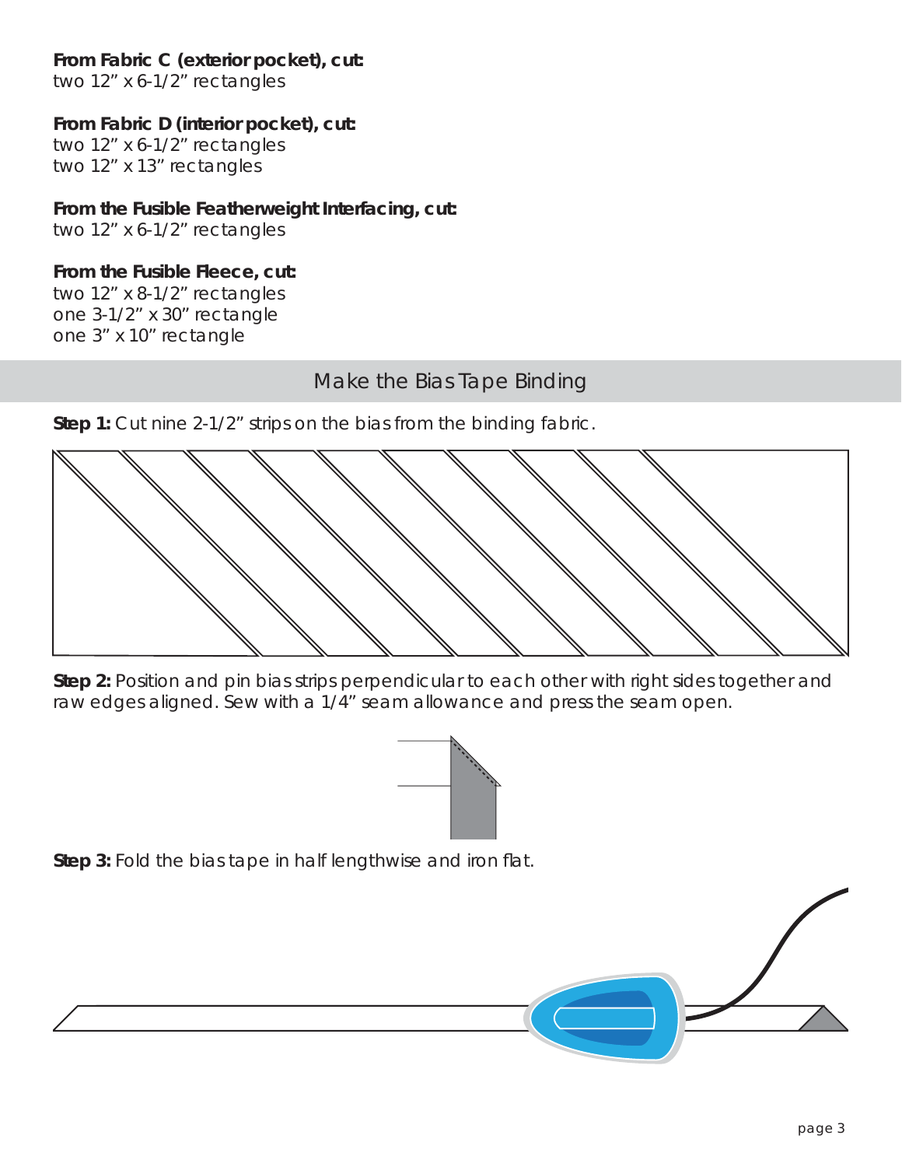#### **From Fabric C (exterior pocket), cut:**

two 12" x 6-1/2" rectangles

#### **From Fabric D (interior pocket), cut:**

two 12" x 6-1/2" rectangles two 12" x 13" rectangles

#### **From the Fusible Featherweight Interfacing, cut:**

two 12" x 6-1/2" rectangles

#### **From the Fusible Fleece, cut:**

two 12" x 8-1/2" rectangles one 3-1/2" x 30" rectangle one 3" x 10" rectangle

# Make the Bias Tape Binding

**Step 1:** Cut nine 2-1/2" strips on the bias from the binding fabric.



**Step 2:** Position and pin bias strips perpendicular to each other with right sides together and raw edges aligned. Sew with a 1/4" seam allowance and press the seam open.



**Step 3:** Fold the bias tape in half lengthwise and iron flat.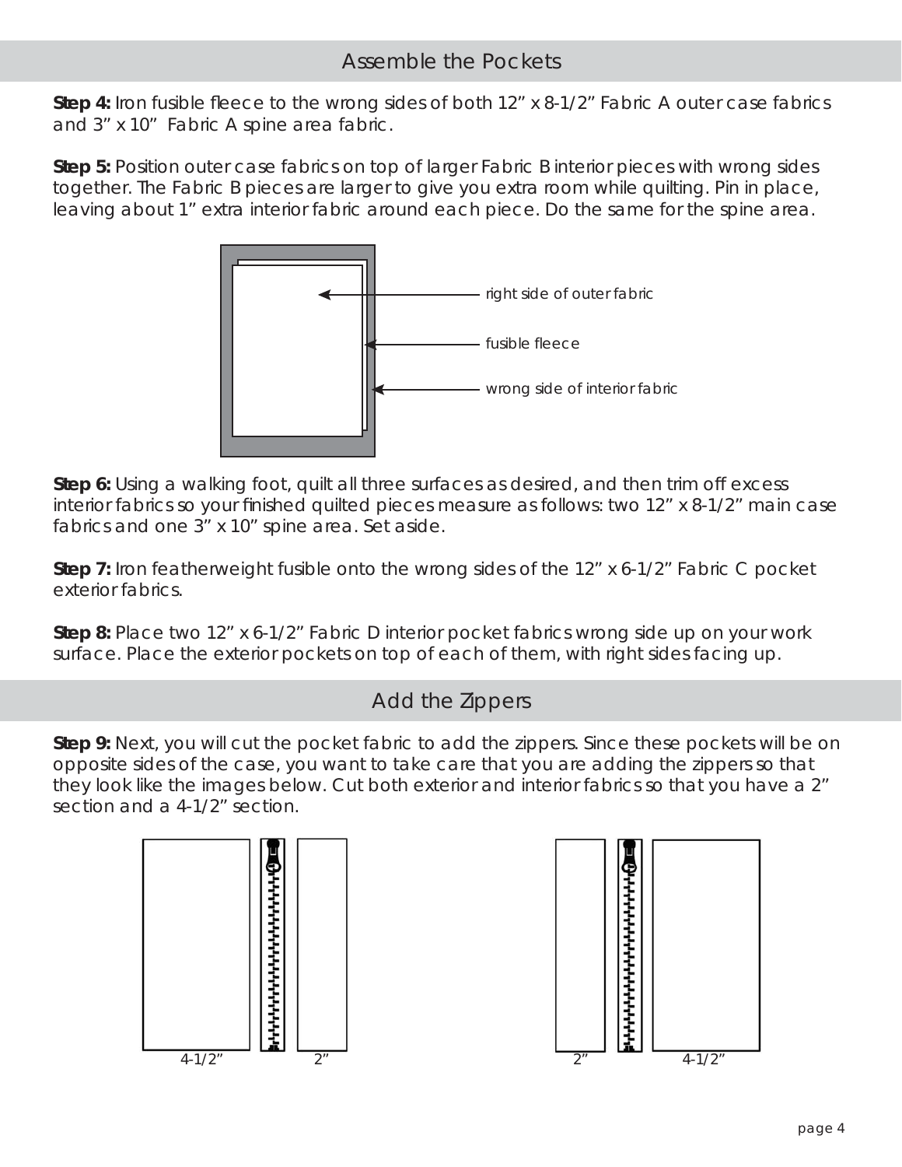# Assemble the Pockets

**Step 4:** Iron fusible fleece to the wrong sides of both 12" x 8-1/2" Fabric A outer case fabrics and 3" x 10" Fabric A spine area fabric.

**Step 5:** Position outer case fabrics on top of larger Fabric B interior pieces with wrong sides together. The Fabric B pieces are larger to give you extra room while quilting. Pin in place, leaving about 1" extra interior fabric around each piece. Do the same for the spine area.



**Step 6:** Using a walking foot, quilt all three surfaces as desired, and then trim off excess interior fabrics so your finished quilted pieces measure as follows: two 12" x 8-1/2" main case fabrics and one 3" x 10" spine area. Set aside.

**Step 7:** Iron featherweight fusible onto the wrong sides of the 12" x 6-1/2" Fabric C pocket exterior fabrics.

**Step 8:** Place two 12" x 6-1/2" Fabric D interior pocket fabrics wrong side up on your work surface. Place the exterior pockets on top of each of them, with right sides facing up.

# Add the Zippers

**Step 9:** Next, you will cut the pocket fabric to add the zippers. Since these pockets will be on opposite sides of the case, you want to take care that you are adding the zippers so that they look like the images below. Cut both exterior and interior fabrics so that you have a 2" section and a 4-1/2" section.



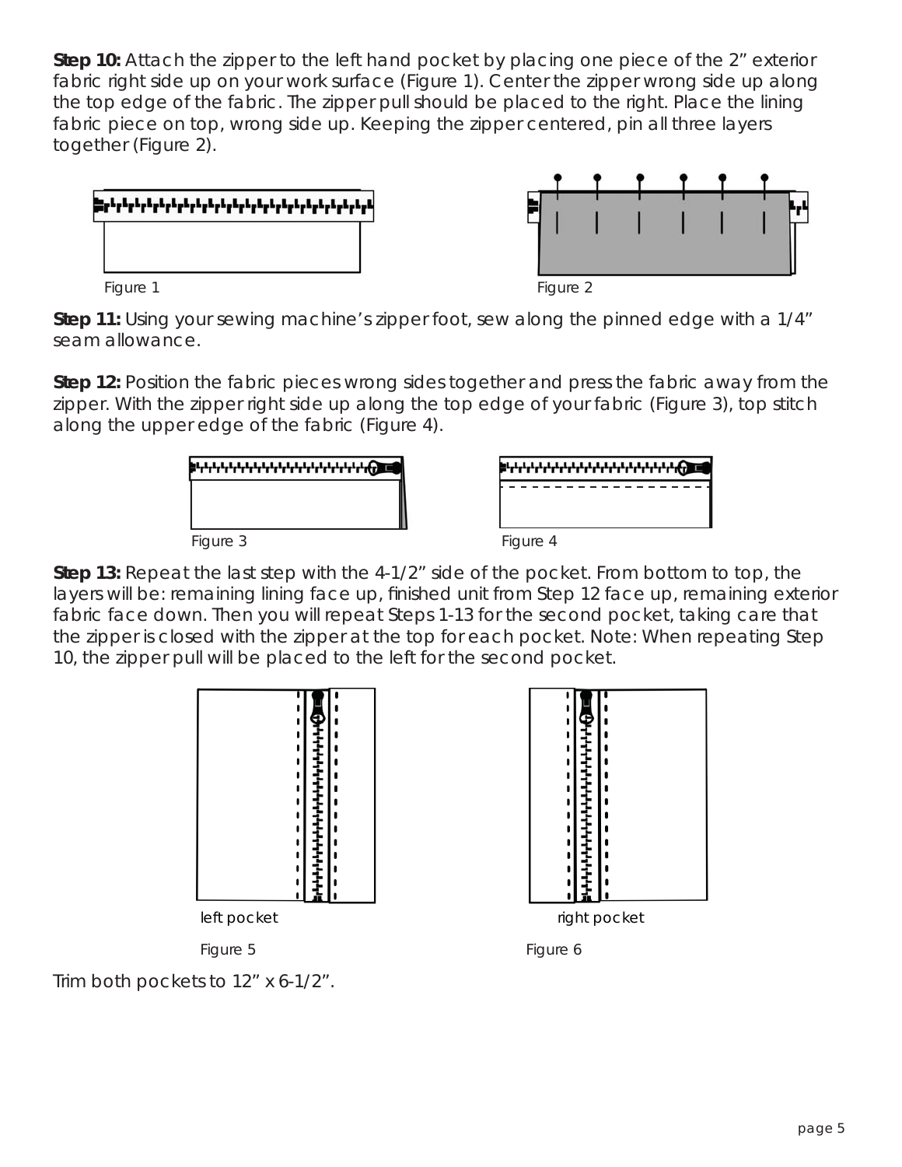**Step 10:** Attach the zipper to the left hand pocket by placing one piece of the 2" exterior fabric right side up on your work surface (Figure 1). Center the zipper wrong side up along the top edge of the fabric. The zipper pull should be placed to the right. Place the lining fabric piece on top, wrong side up. Keeping the zipper centered, pin all three layers together (Figure 2).



**Step 11:** Using your sewing machine's zipper foot, sew along the pinned edge with a 1/4" seam allowance.

**Step 12:** Position the fabric pieces wrong sides together and press the fabric away from the zipper. With the zipper right side up along the top edge of your fabric (Figure 3), top stitch along the upper edge of the fabric (Figure 4).

|          | <b>╻┖┎┖┎┖┎┖┎┖┎┖┎┖┎┖┎┸┎┖┎┖┎┖┎┖┎┸┎┖┎┖</b> |  |
|----------|-----------------------------------------|--|
|          |                                         |  |
|          |                                         |  |
| Figure 3 |                                         |  |



**Step 13:** Repeat the last step with the 4-1/2" side of the pocket. From bottom to top, the layers will be: remaining lining face up, finished unit from Step 12 face up, remaining exterior fabric face down. Then you will repeat Steps 1-13 for the second pocket, taking care that the zipper is closed with the zipper at the top for each pocket. Note: When repeating Step 10, the zipper pull will be placed to the left for the second pocket.







Trim both pockets to 12" x 6-1/2".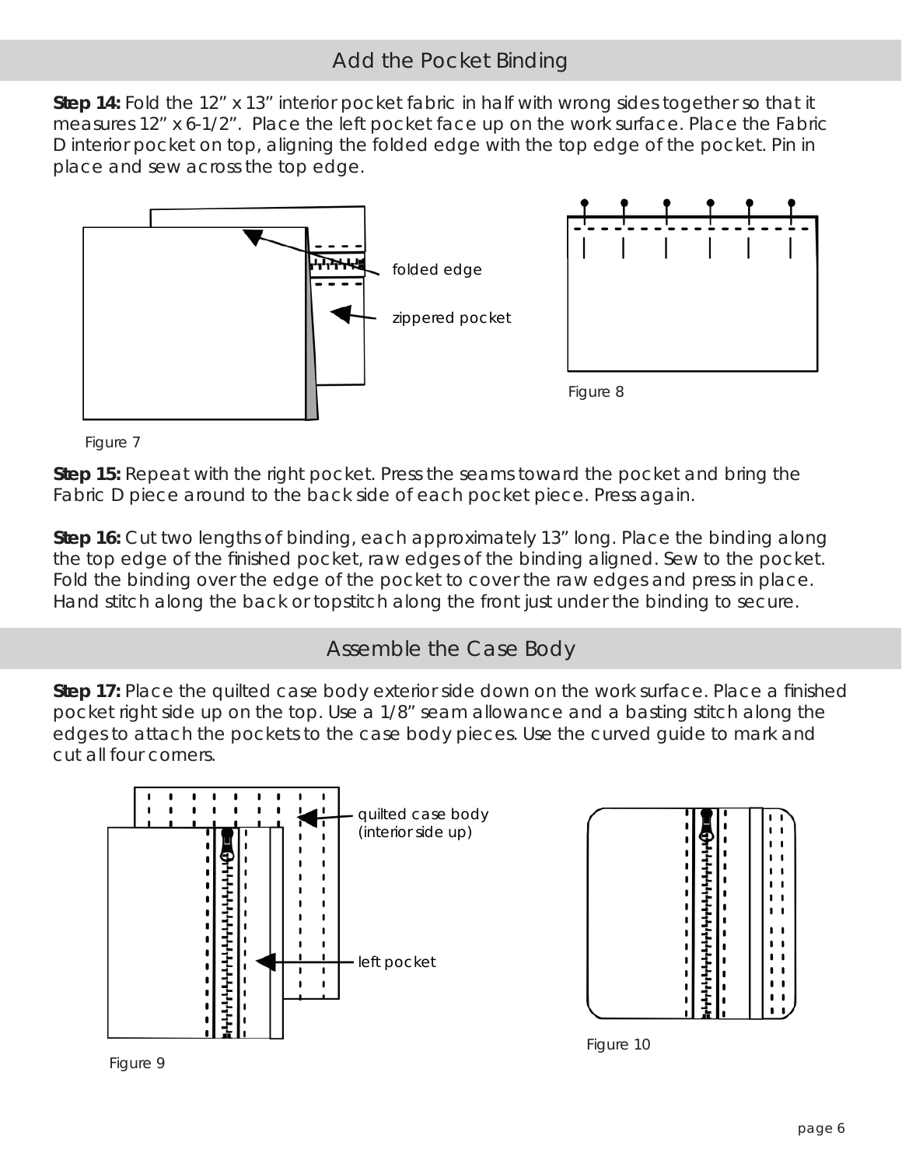# Add the Pocket Binding

**Step 14:** Fold the 12" x 13" interior pocket fabric in half with wrong sides together so that it measures 12" x 6-1/2". Place the left pocket face up on the work surface. Place the Fabric D interior pocket on top, aligning the folded edge with the top edge of the pocket. Pin in place and sew across the top edge.



*Figure 7*

**Step 15:** Repeat with the right pocket. Press the seams toward the pocket and bring the Fabric D piece around to the back side of each pocket piece. Press again.

**Step 16:** Cut two lengths of binding, each approximately 13" long. Place the binding along the top edge of the finished pocket, raw edges of the binding aligned. Sew to the pocket. Fold the binding over the edge of the pocket to cover the raw edges and press in place. Hand stitch along the back or topstitch along the front just under the binding to secure.

# Assemble the Case Body

**Step 17:** Place the quilted case body exterior side down on the work surface. Place a finished pocket right side up on the top. Use a 1/8" seam allowance and a basting stitch along the edges to attach the pockets to the case body pieces. Use the curved guide to mark and cut all four corners.



**。**  $\mathbf{r}$  $\blacksquare$  $\blacksquare$  $\blacksquare$  $\blacksquare$  $\blacksquare$  $\blacksquare$  $\blacksquare$  $\blacksquare$ . ı  $\blacksquare$  $\mathbf{I}$  $\blacksquare$  $\blacksquare$  $\mathbf{I}$ 

*Figure 10*

*Figure 9*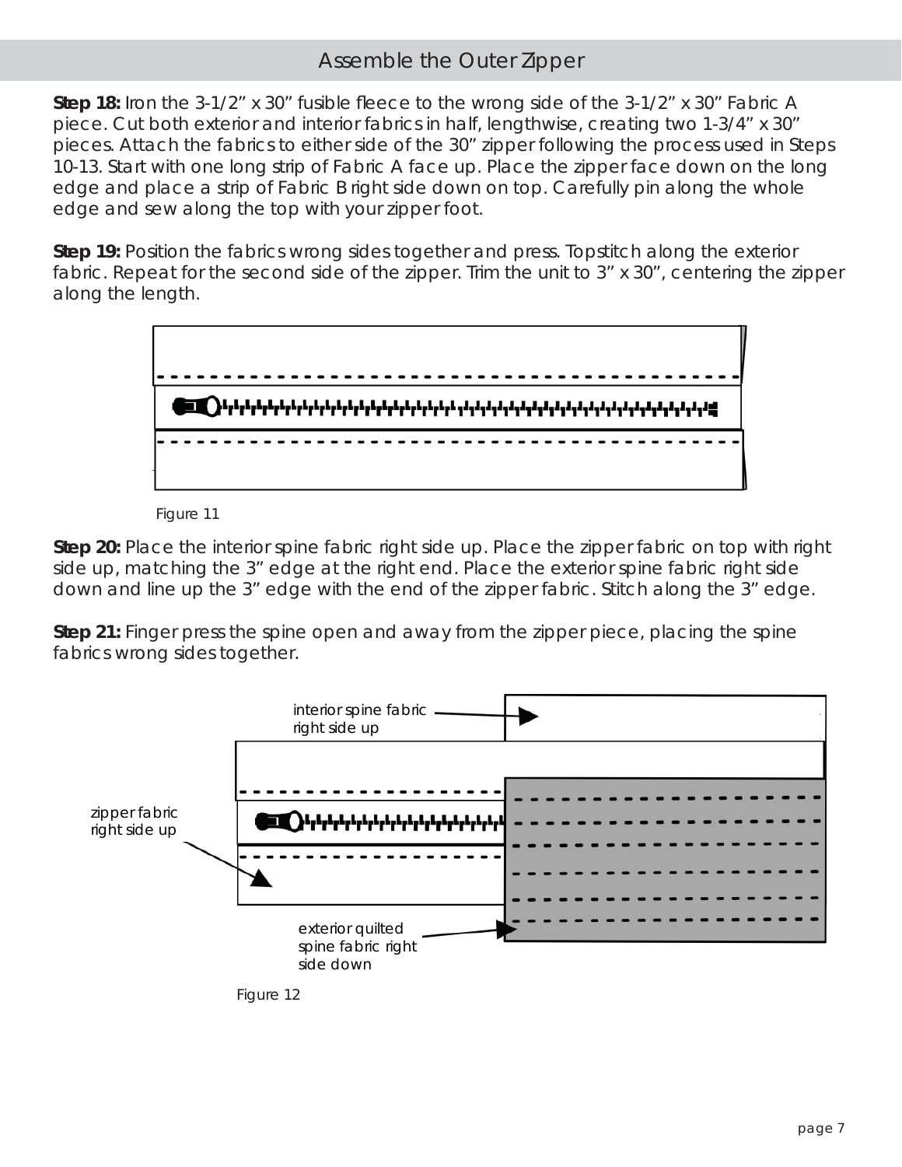## Assemble the Outer Zipper

**Step 18:** Iron the 3-1/2" x 30" fusible fleece to the wrong side of the 3-1/2" x 30" Fabric A piece. Cut both exterior and interior fabrics in half, lengthwise, creating two 1-3/4" x 30" pieces. Attach the fabrics to either side of the 30" zipper following the process used in Steps 10-13. Start with one long strip of Fabric A face up. Place the zipper face down on the long edge and place a strip of Fabric B right side down on top. Carefully pin along the whole edge and sew along the top with your zipper foot.

**Step 19:** Position the fabrics wrong sides together and press. Topstitch along the exterior fabric. Repeat for the second side of the zipper. Trim the unit to 3" x 30", centering the zipper along the length.





**Step 20:** Place the interior spine fabric right side up. Place the zipper fabric on top with right side up, matching the 3" edge at the right end. Place the exterior spine fabric right side down and line up the 3" edge with the end of the zipper fabric. Stitch along the 3" edge.

**Step 21:** Finger press the spine open and away from the zipper piece, placing the spine fabrics wrong sides together.



*Figure 12*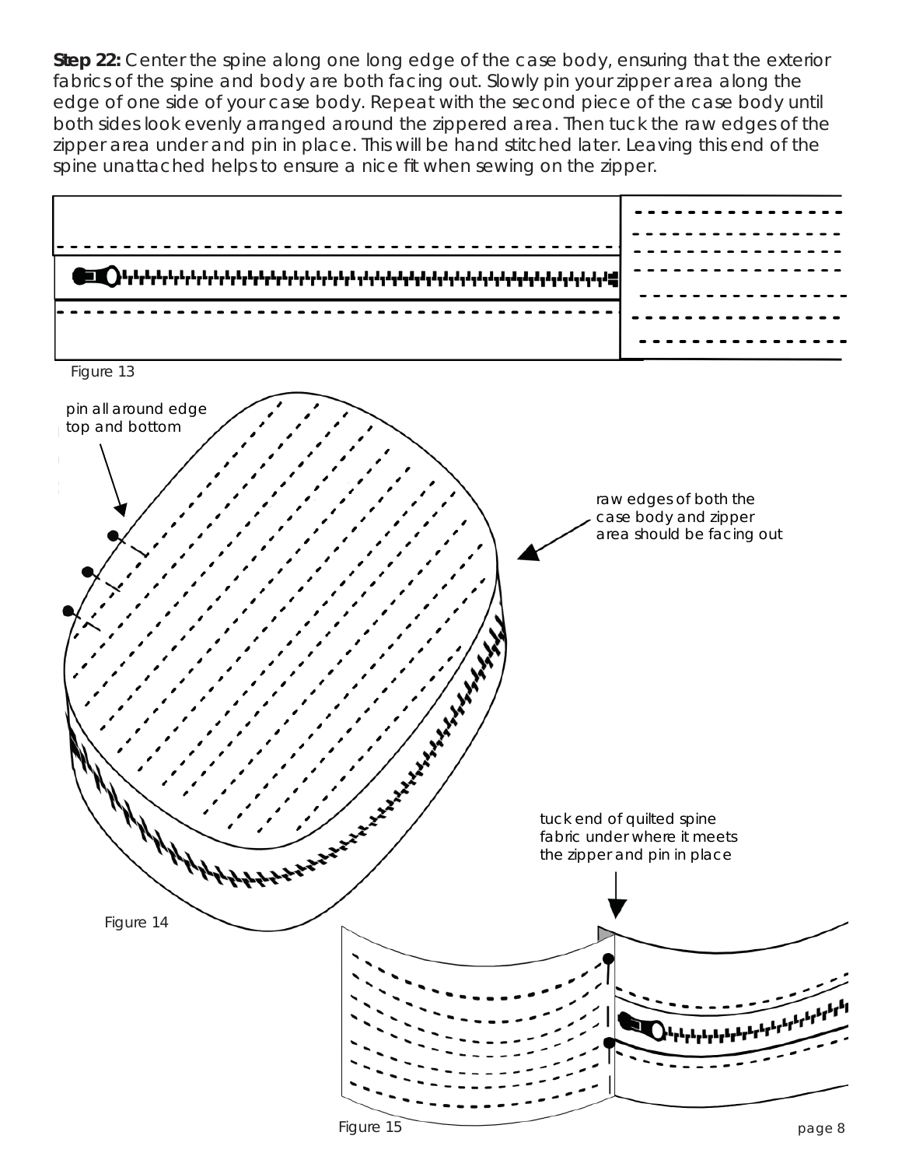**Step 22:** Center the spine along one long edge of the case body, ensuring that the exterior fabrics of the spine and body are both facing out. Slowly pin your zipper area along the edge of one side of your case body. Repeat with the second piece of the case body until both sides look evenly arranged around the zippered area. Then tuck the raw edges of the zipper area under and pin in place. This will be hand stitched later. Leaving this end of the spine unattached helps to ensure a nice fit when sewing on the zipper.